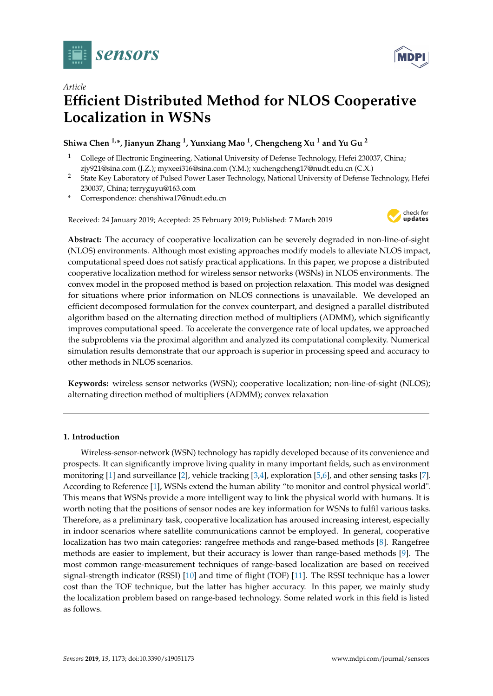



# *Article* **Efficient Distributed Method for NLOS Cooperative Localization in WSNs**

## **Shiwa Chen 1,\*, Jianyun Zhang <sup>1</sup> , Yunxiang Mao <sup>1</sup> , Chengcheng Xu <sup>1</sup> and Yu Gu <sup>2</sup>**

- <sup>1</sup> College of Electronic Engineering, National University of Defense Technology, Hefei 230037, China; zjy921@sina.com (J.Z.); myxeei316@sina.com (Y.M.); xuchengcheng17@nudt.edu.cn (C.X.)
- <sup>2</sup> State Key Laboratory of Pulsed Power Laser Technology, National University of Defense Technology, Hefei 230037, China; terryguyu@163.com
- **\*** Correspondence: chenshiwa17@nudt.edu.cn

Received: 24 January 2019; Accepted: 25 February 2019; Published: 7 March 2019



**Abstract:** The accuracy of cooperative localization can be severely degraded in non-line-of-sight (NLOS) environments. Although most existing approaches modify models to alleviate NLOS impact, computational speed does not satisfy practical applications. In this paper, we propose a distributed cooperative localization method for wireless sensor networks (WSNs) in NLOS environments. The convex model in the proposed method is based on projection relaxation. This model was designed for situations where prior information on NLOS connections is unavailable. We developed an efficient decomposed formulation for the convex counterpart, and designed a parallel distributed algorithm based on the alternating direction method of multipliers (ADMM), which significantly improves computational speed. To accelerate the convergence rate of local updates, we approached the subproblems via the proximal algorithm and analyzed its computational complexity. Numerical simulation results demonstrate that our approach is superior in processing speed and accuracy to other methods in NLOS scenarios.

**Keywords:** wireless sensor networks (WSN); cooperative localization; non-line-of-sight (NLOS); alternating direction method of multipliers (ADMM); convex relaxation

## **1. Introduction**

Wireless-sensor-network (WSN) technology has rapidly developed because of its convenience and prospects. It can significantly improve living quality in many important fields, such as environment monitoring [\[1\]](#page-16-0) and surveillance [\[2\]](#page-16-1), vehicle tracking [\[3](#page-16-2)[,4\]](#page-16-3), exploration [\[5](#page-16-4)[,6\]](#page-16-5), and other sensing tasks [\[7\]](#page-16-6). According to Reference [\[1\]](#page-16-0), WSNs extend the human ability "to monitor and control physical world". This means that WSNs provide a more intelligent way to link the physical world with humans. It is worth noting that the positions of sensor nodes are key information for WSNs to fulfil various tasks. Therefore, as a preliminary task, cooperative localization has aroused increasing interest, especially in indoor scenarios where satellite communications cannot be employed. In general, cooperative localization has two main categories: rangefree methods and range-based methods [\[8\]](#page-16-7). Rangefree methods are easier to implement, but their accuracy is lower than range-based methods [\[9\]](#page-16-8). The most common range-measurement techniques of range-based localization are based on received signal-strength indicator (RSSI) [\[10\]](#page-16-9) and time of flight (TOF) [\[11\]](#page-16-10). The RSSI technique has a lower cost than the TOF technique, but the latter has higher accuracy. In this paper, we mainly study the localization problem based on range-based technology. Some related work in this field is listed as follows.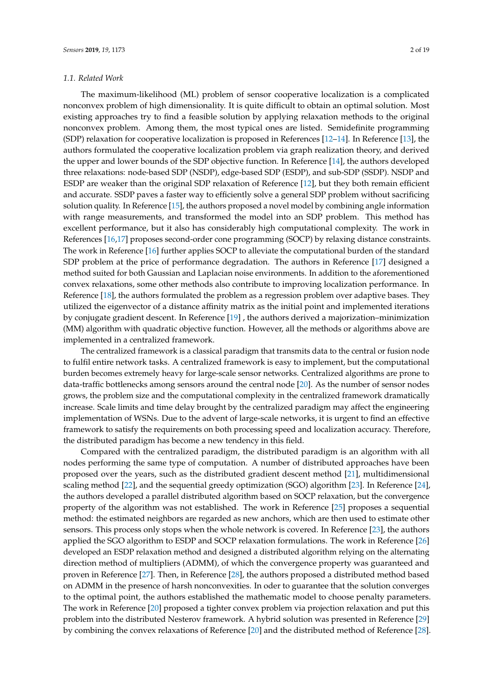#### *1.1. Related Work*

The maximum-likelihood (ML) problem of sensor cooperative localization is a complicated nonconvex problem of high dimensionality. It is quite difficult to obtain an optimal solution. Most existing approaches try to find a feasible solution by applying relaxation methods to the original nonconvex problem. Among them, the most typical ones are listed. Semidefinite programming (SDP) relaxation for cooperative localization is proposed in References [\[12](#page-16-11)[–14\]](#page-17-0). In Reference [\[13\]](#page-17-1), the authors formulated the cooperative localization problem via graph realization theory, and derived the upper and lower bounds of the SDP objective function. In Reference [\[14\]](#page-17-0), the authors developed three relaxations: node-based SDP (NSDP), edge-based SDP (ESDP), and sub-SDP (SSDP). NSDP and ESDP are weaker than the original SDP relaxation of Reference [\[12\]](#page-16-11), but they both remain efficient and accurate. SSDP paves a faster way to efficiently solve a general SDP problem without sacrificing solution quality. In Reference [\[15\]](#page-17-2), the authors proposed a novel model by combining angle information with range measurements, and transformed the model into an SDP problem. This method has excellent performance, but it also has considerably high computational complexity. The work in References [\[16,](#page-17-3)[17\]](#page-17-4) proposes second-order cone programming (SOCP) by relaxing distance constraints. The work in Reference [\[16\]](#page-17-3) further applies SOCP to alleviate the computational burden of the standard SDP problem at the price of performance degradation. The authors in Reference [\[17\]](#page-17-4) designed a method suited for both Gaussian and Laplacian noise environments. In addition to the aforementioned convex relaxations, some other methods also contribute to improving localization performance. In Reference [\[18\]](#page-17-5), the authors formulated the problem as a regression problem over adaptive bases. They utilized the eigenvector of a distance affinity matrix as the initial point and implemented iterations by conjugate gradient descent. In Reference [\[19\]](#page-17-6) , the authors derived a majorization–minimization (MM) algorithm with quadratic objective function. However, all the methods or algorithms above are implemented in a centralized framework.

The centralized framework is a classical paradigm that transmits data to the central or fusion node to fulfil entire network tasks. A centralized framework is easy to implement, but the computational burden becomes extremely heavy for large-scale sensor networks. Centralized algorithms are prone to data-traffic bottlenecks among sensors around the central node [\[20\]](#page-17-7). As the number of sensor nodes grows, the problem size and the computational complexity in the centralized framework dramatically increase. Scale limits and time delay brought by the centralized paradigm may affect the engineering implementation of WSNs. Due to the advent of large-scale networks, it is urgent to find an effective framework to satisfy the requirements on both processing speed and localization accuracy. Therefore, the distributed paradigm has become a new tendency in this field.

Compared with the centralized paradigm, the distributed paradigm is an algorithm with all nodes performing the same type of computation. A number of distributed approaches have been proposed over the years, such as the distributed gradient descent method [\[21\]](#page-17-8), multidimensional scaling method [\[22\]](#page-17-9), and the sequential greedy optimization (SGO) algorithm [\[23\]](#page-17-10). In Reference [\[24\]](#page-17-11), the authors developed a parallel distributed algorithm based on SOCP relaxation, but the convergence property of the algorithm was not established. The work in Reference [\[25\]](#page-17-12) proposes a sequential method: the estimated neighbors are regarded as new anchors, which are then used to estimate other sensors. This process only stops when the whole network is covered. In Reference [\[23\]](#page-17-10), the authors applied the SGO algorithm to ESDP and SOCP relaxation formulations. The work in Reference [\[26\]](#page-17-13) developed an ESDP relaxation method and designed a distributed algorithm relying on the alternating direction method of multipliers (ADMM), of which the convergence property was guaranteed and proven in Reference [\[27\]](#page-17-14). Then, in Reference [\[28\]](#page-17-15), the authors proposed a distributed method based on ADMM in the presence of harsh nonconvexities. In oder to guarantee that the solution converges to the optimal point, the authors established the mathematic model to choose penalty parameters. The work in Reference [\[20\]](#page-17-7) proposed a tighter convex problem via projection relaxation and put this problem into the distributed Nesterov framework. A hybrid solution was presented in Reference [\[29\]](#page-17-16) by combining the convex relaxations of Reference [\[20\]](#page-17-7) and the distributed method of Reference [\[28\]](#page-17-15).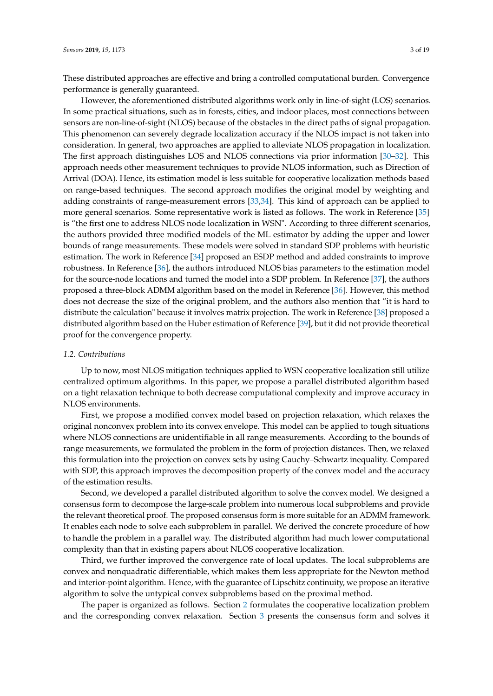These distributed approaches are effective and bring a controlled computational burden. Convergence performance is generally guaranteed.

However, the aforementioned distributed algorithms work only in line-of-sight (LOS) scenarios. In some practical situations, such as in forests, cities, and indoor places, most connections between sensors are non-line-of-sight (NLOS) because of the obstacles in the direct paths of signal propagation. This phenomenon can severely degrade localization accuracy if the NLOS impact is not taken into consideration. In general, two approaches are applied to alleviate NLOS propagation in localization. The first approach distinguishes LOS and NLOS connections via prior information [\[30](#page-17-17)[–32\]](#page-17-18). This approach needs other measurement techniques to provide NLOS information, such as Direction of Arrival (DOA). Hence, its estimation model is less suitable for cooperative localization methods based on range-based techniques. The second approach modifies the original model by weighting and adding constraints of range-measurement errors [\[33,](#page-17-19)[34\]](#page-17-20). This kind of approach can be applied to more general scenarios. Some representative work is listed as follows. The work in Reference [\[35\]](#page-17-21) is "the first one to address NLOS node localization in WSN". According to three different scenarios, the authors provided three modified models of the ML estimator by adding the upper and lower bounds of range measurements. These models were solved in standard SDP problems with heuristic estimation. The work in Reference [\[34\]](#page-17-20) proposed an ESDP method and added constraints to improve robustness. In Reference [\[36\]](#page-17-22), the authors introduced NLOS bias parameters to the estimation model for the source-node locations and turned the model into a SDP problem. In Reference [\[37\]](#page-18-0), the authors proposed a three-block ADMM algorithm based on the model in Reference [\[36\]](#page-17-22). However, this method does not decrease the size of the original problem, and the authors also mention that "it is hard to distribute the calculation" because it involves matrix projection. The work in Reference [\[38\]](#page-18-1) proposed a distributed algorithm based on the Huber estimation of Reference [\[39\]](#page-18-2), but it did not provide theoretical proof for the convergence property.

#### *1.2. Contributions*

Up to now, most NLOS mitigation techniques applied to WSN cooperative localization still utilize centralized optimum algorithms. In this paper, we propose a parallel distributed algorithm based on a tight relaxation technique to both decrease computational complexity and improve accuracy in NLOS environments.

First, we propose a modified convex model based on projection relaxation, which relaxes the original nonconvex problem into its convex envelope. This model can be applied to tough situations where NLOS connections are unidentifiable in all range measurements. According to the bounds of range measurements, we formulated the problem in the form of projection distances. Then, we relaxed this formulation into the projection on convex sets by using Cauchy–Schwartz inequality. Compared with SDP, this approach improves the decomposition property of the convex model and the accuracy of the estimation results.

Second, we developed a parallel distributed algorithm to solve the convex model. We designed a consensus form to decompose the large-scale problem into numerous local subproblems and provide the relevant theoretical proof. The proposed consensus form is more suitable for an ADMM framework. It enables each node to solve each subproblem in parallel. We derived the concrete procedure of how to handle the problem in a parallel way. The distributed algorithm had much lower computational complexity than that in existing papers about NLOS cooperative localization.

Third, we further improved the convergence rate of local updates. The local subproblems are convex and nonquadratic differentiable, which makes them less appropriate for the Newton method and interior-point algorithm. Hence, with the guarantee of Lipschitz continuity, we propose an iterative algorithm to solve the untypical convex subproblems based on the proximal method.

The paper is organized as follows. Section [2](#page-3-0) formulates the cooperative localization problem and the corresponding convex relaxation. Section [3](#page-5-0) presents the consensus form and solves it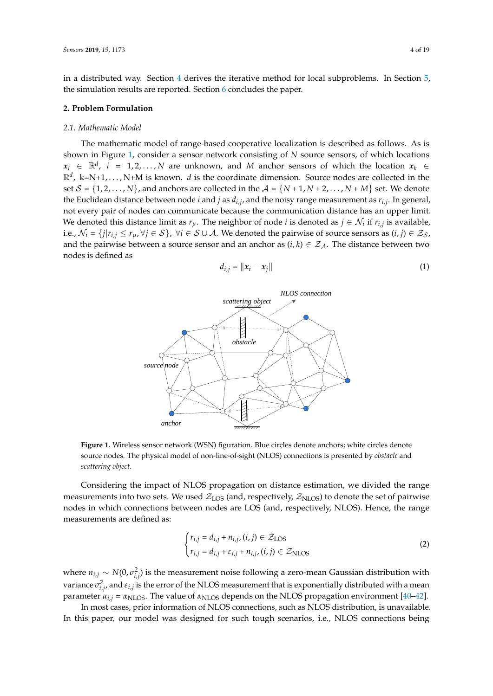in a distributed way. Section [4](#page-8-0) derives the iterative method for local subproblems. In Section [5,](#page-11-0) the simulation results are reported. Section [6](#page-16-12) concludes the paper.

#### <span id="page-3-0"></span>**2. Problem Formulation**

#### *2.1. Mathematic Model*

The mathematic model of range-based cooperative localization is described as follows. As is shown in Figure [1,](#page-3-1) consider a sensor network consisting of *N* source sensors, of which locations  $x_i \in \mathbb{R}^d$ , *i* = 1, 2, . . . , *N* are unknown, and *M* anchor sensors of which the location  $x_k$  ∈  $\mathbb{R}^d$ , k=N+1,..., N+M is known. *d* is the coordinate dimension. Source nodes are collected in the set  $S = \{1, 2, ..., N\}$ , and anchors are collected in the  $A = \{N+1, N+2, ..., N+M\}$  set. We denote the Euclidean distance between node *i* and *j* as *di*,*<sup>j</sup>* , and the noisy range measurement as *ri*,*<sup>j</sup>* . In general, not every pair of nodes can communicate because the communication distance has an upper limit. We denoted this distance limit as  $r_\mu$ . The neighbor of node *i* is denoted as  $j \in \mathcal{N}_i$  if  $r_{i,j}$  is available, i.e.,  $\mathcal{N}_i = \{j | r_{i,j} \le r_\mu, \forall j \in \mathcal{S}\}\$ ,  $\forall i \in \mathcal{S} \cup \mathcal{A}$ . We denoted the pairwise of source sensors as  $(i, j) \in \mathcal{Z}_{\mathcal{S}}$ , and the pairwise between a source sensor and an anchor as  $(i, k) \in \mathcal{Z}_{\mathcal{A}}$ . The distance between two nodes is defined as

<span id="page-3-2"></span>
$$
d_{i,j} = ||x_i - x_j|| \tag{1}
$$

<span id="page-3-1"></span>

**Figure 1.** Wireless sensor network (WSN) figuration. Blue circles denote anchors; white circles denote source nodes. The physical model of non-line-of-sight (NLOS) connections is presented by *obstacle* and *scattering object*.

Considering the impact of NLOS propagation on distance estimation, we divided the range measurements into two sets. We used  $Z_{LOS}$  (and, respectively,  $Z_{NLOS}$ ) to denote the set of pairwise nodes in which connections between nodes are LOS (and, respectively, NLOS). Hence, the range measurements are defined as:

<span id="page-3-3"></span>
$$
\begin{cases} r_{i,j} = d_{i,j} + n_{i,j}, (i,j) \in \mathcal{Z}_{\text{LOS}} \\ r_{i,j} = d_{i,j} + \varepsilon_{i,j} + n_{i,j}, (i,j) \in \mathcal{Z}_{\text{NLOS}} \end{cases}
$$
 (2)

where  $n_{i,j} \sim N(0, \sigma_{i,j}^2)$  is the measurement noise following a zero-mean Gaussian distribution with variance  $\sigma_{i,j}^2$ , and  $\varepsilon_{i,j}$  is the error of the NLOS measurement that is exponentially distributed with a mean parameter  $\alpha_{i,j} = \alpha_{\text{NLOS}}$ . The value of  $\alpha_{\text{NLOS}}$  depends on the NLOS propagation environment [\[40–](#page-18-3)[42\]](#page-18-4).

In most cases, prior information of NLOS connections, such as NLOS distribution, is unavailable. In this paper, our model was designed for such tough scenarios, i.e., NLOS connections being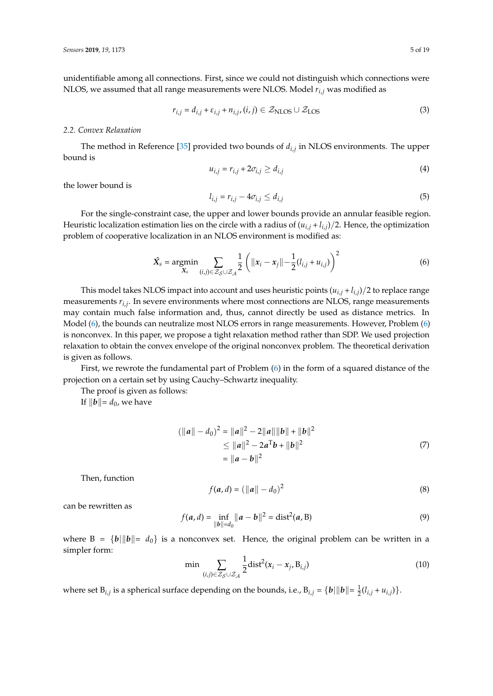unidentifiable among all connections. First, since we could not distinguish which connections were NLOS, we assumed that all range measurements were NLOS. Model *ri*,*<sup>j</sup>* was modified as

$$
r_{i,j} = d_{i,j} + \varepsilon_{i,j} + n_{i,j}, (i,j) \in \mathcal{Z}_{\text{NLOS}} \cup \mathcal{Z}_{\text{LOS}}
$$
\n(3)

## *2.2. Convex Relaxation*

The method in Reference [\[35\]](#page-17-21) provided two bounds of *di*,*<sup>j</sup>* in NLOS environments. The upper bound is

$$
u_{i,j} = r_{i,j} + 2\sigma_{i,j} \ge d_{i,j} \tag{4}
$$

the lower bound is

$$
l_{i,j} = r_{i,j} - 4\sigma_{i,j} \le d_{i,j} \tag{5}
$$

For the single-constraint case, the upper and lower bounds provide an annular feasible region. Heuristic localization estimation lies on the circle with a radius of  $(u_{i,j} + l_{i,j})/2$ . Hence, the optimization problem of cooperative localization in an NLOS environment is modified as:

<span id="page-4-0"></span>
$$
\hat{X}_s = \underset{X_s}{\text{argmin}} \sum_{(i,j) \in \mathcal{Z}_S \cup \mathcal{Z}_A} \frac{1}{2} \left( \|x_i - x_j\| - \frac{1}{2} (l_{i,j} + u_{i,j}) \right)^2 \tag{6}
$$

This model takes NLOS impact into account and uses heuristic points  $(u_{i,j} + l_{i,j})/2$  to replace range measurements *ri*,*<sup>j</sup>* . In severe environments where most connections are NLOS, range measurements may contain much false information and, thus, cannot directly be used as distance metrics. In Model [\(6\)](#page-4-0), the bounds can neutralize most NLOS errors in range measurements. However, Problem [\(6\)](#page-4-0) is nonconvex. In this paper, we propose a tight relaxation method rather than SDP. We used projection relaxation to obtain the convex envelope of the original nonconvex problem. The theoretical derivation is given as follows.

First, we rewrote the fundamental part of Problem [\(6\)](#page-4-0) in the form of a squared distance of the projection on a certain set by using Cauchy–Schwartz inequality.

The proof is given as follows:

If  $\|\boldsymbol{b}\| = d_0$ , we have

$$
(\|a\| - d_0)^2 = \|a\|^2 - 2\|a\|\|b\| + \|b\|^2
$$
  
\n
$$
\le \|a\|^2 - 2a^Tb + \|b\|^2
$$
  
\n
$$
= \|a - b\|^2
$$
\n(7)

Then, function

<span id="page-4-1"></span>
$$
f(a, d) = (||a|| - d_0)^2
$$
 (8)

can be rewritten as

$$
f(a,d) = \inf_{\|b\| = d_0} \|a - b\|^2 = \text{dist}^2(a, B)
$$
 (9)

where  $B = {b \|\phi\| = d_0}$  is a nonconvex set. Hence, the original problem can be written in a simpler form:

<span id="page-4-2"></span>
$$
\min \sum_{(i,j)\in\mathcal{Z}_{\mathcal{S}}\cup\mathcal{Z}_{\mathcal{A}}} \frac{1}{2} \text{dist}^2(x_i - x_j, B_{i,j}) \tag{10}
$$

where set  $B_{i,j}$  is a spherical surface depending on the bounds, i.e.,  $B_{i,j} = \{b \mid ||b|| = \frac{1}{2}(l_{i,j} + u_{i,j})\}$ .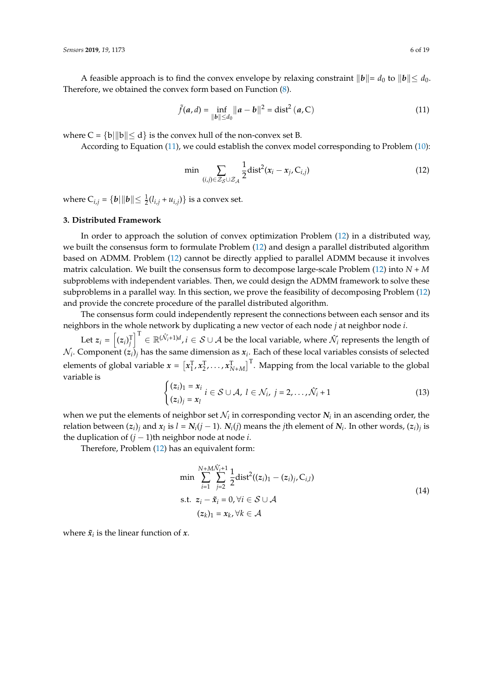A feasible approach is to find the convex envelope by relaxing constraint  $||\boldsymbol{b}|| = d_0$  to  $||\boldsymbol{b}|| \leq d_0$ . Therefore, we obtained the convex form based on Function [\(8\)](#page-4-1).

<span id="page-5-1"></span>
$$
\tilde{f}(a,d) = \inf_{\|b\| \le d_0} \|a - b\|^2 = \text{dist}^2(a, C)
$$
\n(11)

where  $C = \{b\vert ||b|| < d\}$  is the convex hull of the non-convex set B.

According to Equation [\(11\)](#page-5-1), we could establish the convex model corresponding to Problem [\(10\)](#page-4-2):

<span id="page-5-2"></span>
$$
\min \sum_{(i,j)\in\mathcal{Z}_{\mathcal{S}}\cup\mathcal{Z}_{\mathcal{A}}} \frac{1}{2} \text{dist}^2(x_i - x_j, C_{i,j})
$$
\n(12)

where  $C_{i,j} = \{ b | ||b|| \le \frac{1}{2} (l_{i,j} + u_{i,j}) \}$  is a convex set.

## <span id="page-5-0"></span>**3. Distributed Framework**

In order to approach the solution of convex optimization Problem [\(12\)](#page-5-2) in a distributed way, we built the consensus form to formulate Problem [\(12\)](#page-5-2) and design a parallel distributed algorithm based on ADMM. Problem [\(12\)](#page-5-2) cannot be directly applied to parallel ADMM because it involves matrix calculation. We built the consensus form to decompose large-scale Problem [\(12\)](#page-5-2) into *N* + *M* subproblems with independent variables. Then, we could design the ADMM framework to solve these subproblems in a parallel way. In this section, we prove the feasibility of decomposing Problem [\(12\)](#page-5-2) and provide the concrete procedure of the parallel distributed algorithm.

The consensus form could independently represent the connections between each sensor and its neighbors in the whole network by duplicating a new vector of each node *j* at neighbor node *i*.

Let  $z_i = \left[(z_i)_j^{\mathrm{T}}\right]^{\mathrm{T}} \in \mathbb{R}^{(\mathcal{N}_i+1)d}$  ,  $i \in \mathcal{S} \cup \mathcal{A}$  be the local variable, where  $\hat{\mathcal{N}}_i$  represents the length of  $\mathcal{N}_i$ . Component  $(z_i)_{j}$  has the same dimension as  $x_i$ . Each of these local variables consists of selected elements of global variable  $x = [x_1^T, x_2^T, \ldots, x_{N+M}^T]^T$ . Mapping from the local variable to the global variable is

$$
\begin{cases} (z_i)_1 = x_i \\ (z_i)_j = x_l \end{cases} i \in \mathcal{S} \cup \mathcal{A}, l \in \mathcal{N}_i, j = 2, \dots, \hat{\mathcal{N}}_i + 1 \tag{13}
$$

when we put the elements of neighbor set  $\mathcal{N}_i$  in corresponding vector  $\mathcal{N}_i$  in an ascending order, the relation between  $(z_i)_j$  and  $x_l$  is  $l = N_i(j-1)$ .  $N_i(j)$  means the *j*th element of  $N_i$ . In other words,  $(z_i)_j$  is the duplication of (*j* − 1)th neighbor node at node *i*.

<span id="page-5-3"></span>Therefore, Problem [\(12\)](#page-5-2) has an equivalent form:

$$
\min \sum_{i=1}^{N+M\hat{\mathcal{N}}_{i}+1} \sum_{j=2}^{N+M\hat{\mathcal{N}}_{i}+1} \frac{1}{2} \text{dist}^{2}((z_{i})_{1}-(z_{i})_{j}, C_{i,l})
$$
\n
$$
\text{s.t. } z_{i}-\tilde{x}_{i}=0, \forall i \in S \cup \mathcal{A}
$$
\n
$$
(z_{k})_{1}=x_{k}, \forall k \in \mathcal{A}
$$
\n
$$
(14)
$$

where  $\tilde{x}_i$  is the linear function of *x*.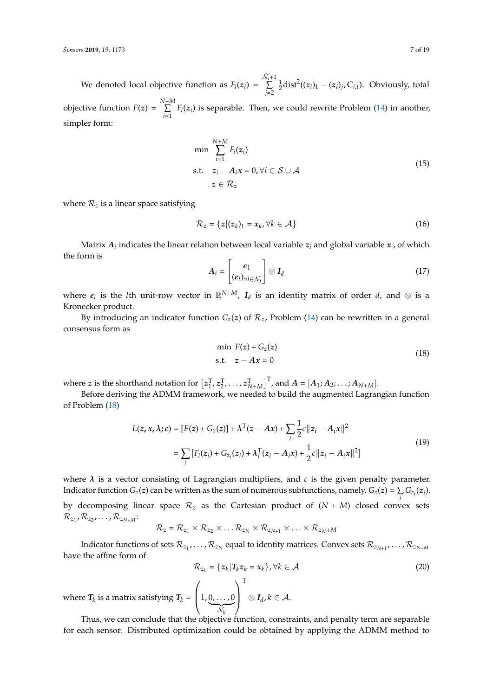We denoted local objective function as  $F_i(z_i)$  =  $\hat{\mathcal{N}}_{i+1}$ ∑ *j*=2  $\frac{1}{2}$ dist<sup>2</sup>((*z*<sub>*i*</sub>)<sub>1</sub> - (*z*<sub>*i*</sub>)<sub>*j*</sub>, C<sub>*i*,*l*</sub>). Obviously, total objective function  $F(z) = \sum_{n=1}^{N+M}$  $\sum_{i=1}$   $F_i(z_i)$  is separable. Then, we could rewrite Problem [\(14\)](#page-5-3) in another, simpler form:

$$
\min \sum_{i=1}^{N+M} F_i(z_i)
$$
\n
$$
\text{s.t.} \quad z_i - A_i x = 0, \forall i \in S \cup A
$$
\n
$$
z \in \mathcal{R}_z \tag{15}
$$

where  $\mathcal{R}_z$  is a linear space satisfying

$$
\mathcal{R}_z = \{z | (z_k)_1 = x_k, \forall k \in \mathcal{A}\}\tag{16}
$$

Matrix  $A_i$  indicates the linear relation between local variable  $z_i$  and global variable  $x$  , of which the form is

$$
A_i = \begin{bmatrix} e_1 \\ (e_i)_{\forall i \in \mathcal{N}_i} \end{bmatrix} \otimes I_d \tag{17}
$$

where  $e_l$  is the *l*th unit-row vector in  $\mathbb{R}^{N+M}$ ,  $I_d$  is an identity matrix of order *d*, and  $\otimes$  is a Kronecker product.

By introducing an indicator function  $G_z(z)$  of  $\mathcal{R}_z$ , Problem [\(14\)](#page-5-3) can be rewritten in a general consensus form as

$$
\min F(z) + G_z(z) \n\text{s.t.} \quad z - Ax = 0
$$
\n(18)

<span id="page-6-0"></span>where *z* is the shorthand notation for  $[z_1^T, z_2^T, \ldots, z_{N+M}^T]^T$ , and  $A = [A_1; A_2; \ldots; A_{N+M}]$ .

Before deriving the ADMM framework, we needed to build the augmented Lagrangian function of Problem [\(18\)](#page-6-0)

$$
L(z, x, \lambda; c) = [F(z) + G_z(z)] + \lambda^{T} (z - Ax) + \sum_{i} \frac{1}{2} c ||z_i - A_i x||^2
$$
  
= 
$$
\sum_{i} [F_i(z_i) + G_{z_i}(z_i) + \lambda_i^{T} (z_i - A_i x) + \frac{1}{2} c ||z_i - A_i x||^2]
$$
 (19)

where  $\lambda$  is a vector consisting of Lagrangian multipliers, and  $c$  is the given penalty parameter. Indicator function  $G_z(z)$  can be written as the sum of numerous subfunctions, namely,  $G_z(z) = \sum G_{z_i}(z_i)$ , *i* by decomposing linear space R*<sup>z</sup>* as the Cartesian product of (*N* + *M*) closed convex sets  $\mathcal{R}_{z_1}, \mathcal{R}_{z_2}, \ldots, \mathcal{R}_{z_{N+M}}$ 

$$
\mathcal{R}_z = \mathcal{R}_{z_1} \times \mathcal{R}_{z_2} \times \ldots \mathcal{R}_{z_N} \times \mathcal{R}_{z_{N+1}} \times \ldots \times \mathcal{R}_{z_N + M}
$$

Indicator functions of sets  $\mathcal{R}_{z_1},\ldots,\mathcal{R}_{z_N}$  equal to identity matrices. Convex sets  $\mathcal{R}_{z_{N+1}},\ldots,\mathcal{R}_{z_{N+M}}$ have the affine form of

$$
\mathcal{R}_{z_k} = \{z_k | T_k z_k = x_k\}, \forall k \in \mathcal{A}
$$
\n
$$
\left(\begin{array}{c}\n\ddots & \ddots & \ddots \\
\ddots & \ddots & \ddots & \ddots\n\end{array}\right)
$$
\n
$$
\begin{array}{c}\n\ddots & \ddots & \ddots & \ddots \\
\ddots & \ddots & \ddots & \ddots & \ddots\n\end{array}
$$
\n
$$
(20)
$$

where  $T_k$  is a matrix satisfying  $T_k = \begin{pmatrix} 1, 0, \dots, 0 \\ \sqrt{k} \end{pmatrix}$  $\left\{\n\begin{array}{l}\n\in \mathcal{A}.\n\end{array}\n\right.$ 

Thus, we can conclude that the objective function, constraints, and penalty term are separable for each sensor. Distributed optimization could be obtained by applying the ADMM method to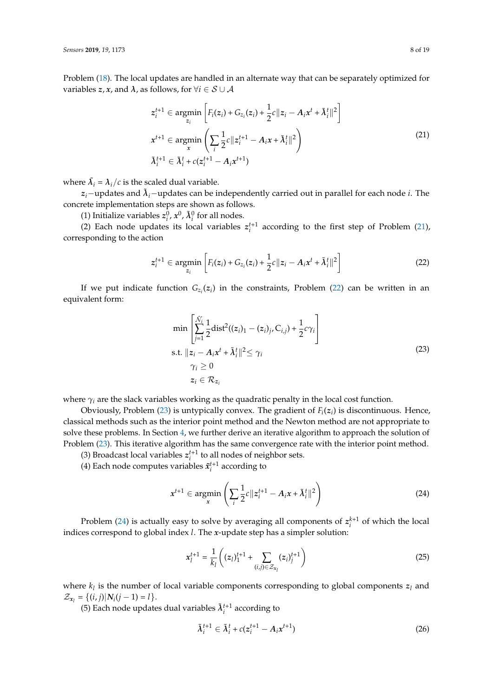Problem [\(18\)](#page-6-0). The local updates are handled in an alternate way that can be separately optimized for variables *z*, *x*, and  $\lambda$ , as follows, for  $\forall i \in S \cup A$ 

$$
z_i^{t+1} \in \underset{x}{\text{argmin}} \left[ F_i(z_i) + G_{z_i}(z_i) + \frac{1}{2}c||z_i - A_ix^t + \tilde{\lambda}_i^t||^2 \right]
$$
  

$$
x^{t+1} \in \underset{x}{\text{argmin}} \left( \sum_i \frac{1}{2}c||z_i^{t+1} - A_ix + \tilde{\lambda}_i^t||^2 \right)
$$
  

$$
\tilde{\lambda}_i^{t+1} \in \tilde{\lambda}_i^t + c(z_i^{t+1} - A_ix^{t+1})
$$
\n(21)

<span id="page-7-0"></span>where  $\tilde{\lambda}_i = \lambda_i/c$  is the scaled dual variable.

*zi*−updates and *λ*˜ *<sup>i</sup>*−updates can be independently carried out in parallel for each node *i*. The concrete implementation steps are shown as follows.

(1) Initialize variables  $z_i^0$ ,  $x^0$ ,  $\tilde{\lambda}_i^0$  for all nodes.

(2) Each node updates its local variables  $z_i^{t+1}$  according to the first step of Problem [\(21\)](#page-7-0), corresponding to the action

<span id="page-7-1"></span>
$$
z_i^{t+1} \in \underset{z_i}{\text{argmin}} \left[ F_i(z_i) + G_{z_i}(z_i) + \frac{1}{2}c||z_i - A_i x^t + \tilde{\lambda}_i^t||^2 \right] \tag{22}
$$

If we put indicate function  $G_{z_i}(z_i)$  in the constraints, Problem [\(22\)](#page-7-1) can be written in an equivalent form:

$$
\min \left[ \sum_{j=1}^{\hat{N}_i} \frac{1}{2} \text{dist}^2((z_i)_1 - (z_i)_j, C_{i,j}) + \frac{1}{2} c \gamma_i \right]
$$
\n
$$
\text{s.t. } ||z_i - A_i x^t + \tilde{\lambda}_i^t||^2 \leq \gamma_i
$$
\n
$$
\gamma_i \geq 0
$$
\n
$$
z_i \in \mathcal{R}_{z_i}
$$
\n(23)

<span id="page-7-2"></span>where  $\gamma_i$  are the slack variables working as the quadratic penalty in the local cost function.

Obviously, Problem  $(23)$  is untypically convex. The gradient of  $F_i(z_i)$  is discontinuous. Hence, classical methods such as the interior point method and the Newton method are not appropriate to solve these problems. In Section [4,](#page-8-0) we further derive an iterative algorithm to approach the solution of Problem [\(23\)](#page-7-2). This iterative algorithm has the same convergence rate with the interior point method.

(3) Broadcast local variables  $z_i^{t+1}$  to all nodes of neighbor sets.

(4) Each node computes variables  $\tilde{x}_i^{t+1}$  according to

<span id="page-7-3"></span>
$$
x^{t+1} \in \operatorname*{argmin}_{x} \left( \sum_{i} \frac{1}{2} c ||z_i^{t+1} - A_i x + \tilde{\lambda}_i^t||^2 \right)
$$
 (24)

Problem [\(24\)](#page-7-3) is actually easy to solve by averaging all components of  $z_i^{k+1}$  of which the local indices correspond to global index *l*. The *x*-update step has a simpler solution:

<span id="page-7-4"></span>
$$
x_l^{t+1} = \frac{1}{k_l} \left( (z_l)_1^{t+1} + \sum_{(i,j) \in \mathcal{Z}_{x_l}} (z_i)_j^{t+1} \right) \tag{25}
$$

where  $k_l$  is the number of local variable components corresponding to global components  $z_l$  and  $\mathcal{Z}_{x_l} = \{(i, j) | N_i(j - 1) = l\}.$ 

(5) Each node updates dual variables  $\tilde{\lambda}_i^{t+1}$  according to

<span id="page-7-5"></span>
$$
\tilde{\lambda}_i^{t+1} \in \tilde{\lambda}_i^t + c(z_i^{t+1} - A_i x^{t+1})
$$
\n(26)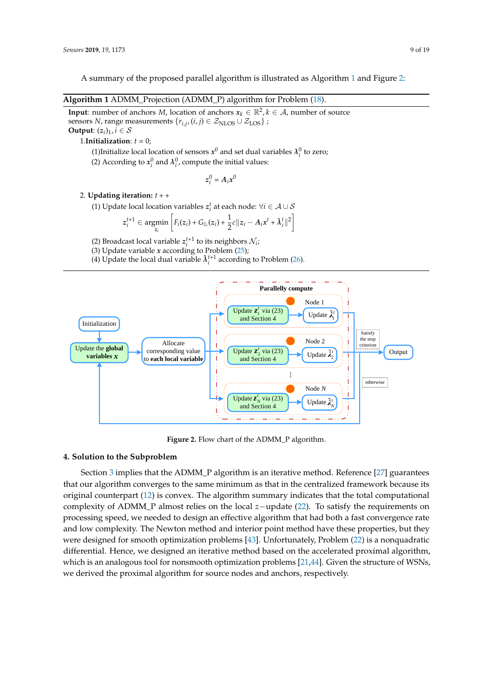A summary of the proposed parallel algorithm is illustrated as Algorithm [1](#page-8-1) and Figure [2:](#page-8-2)

<span id="page-8-1"></span>**Algorithm 1** ADMM\_Projection (ADMM\_P) algorithm for Problem [\(18\)](#page-6-0).

**Input**: number of anchors *M*, location of anchors  $x_k \in \mathbb{R}^2$ ,  $k \in \mathcal{A}$ , number of source sensors *N*, range measurements  $\{r_{i,j}, (i,j) \in \mathcal{Z}_{\text{NLOS}} \cup \mathcal{Z}_{\text{LOS}}\}$  ; **Output:**  $(z_i)_1$ ,  $i \in \mathcal{S}$ 

1.**Initialization**:  $t = 0$ ;

(1)Initialize local location of sensors  $x^0$  and set dual variables  $\lambda_i^0$  to zero;

(2) According to  $x_i^0$  and  $\lambda_i^0$ , compute the initial values:

$$
z_i^0 = A_i x^0
$$

#### 2. **Updating iteration:** *t* + +

(1) Update local location variables  $z_i^t$  at each node:  $\forall i \in \mathcal{A} \cup \mathcal{S}$ 

$$
z_i^{t+1} \in \underset{z_i}{\text{argmin}} \left[ F_i(z_i) + G_{z_i}(z_i) + \frac{1}{2}c||z_i - A_i x^t + \tilde{\lambda}_i^t||^2 \right]
$$

(2) Broadcast local variable  $z_i^{t+1}$  to its neighbors  $\mathcal{N}_i$ ;

- (3) Update variable *x* according to Problem [\(25\)](#page-7-4);
- (4) Update the local dual variable  $\tilde{\lambda}_i^{t+1}$  according to Problem [\(26\)](#page-7-5).

<span id="page-8-2"></span>

**Figure 2.** Flow chart of the ADMM\_P algorithm.

## <span id="page-8-0"></span>**4. Solution to the Subproblem**

Section [3](#page-5-0) implies that the ADMM P algorithm is an iterative method. Reference [\[27\]](#page-17-14) guarantees that our algorithm converges to the same minimum as that in the centralized framework because its original counterpart [\(12\)](#page-5-2) is convex. The algorithm summary indicates that the total computational complexity of ADMM\_P almost relies on the local *z*−update [\(22\)](#page-7-1). To satisfy the requirements on processing speed, we needed to design an effective algorithm that had both a fast convergence rate and low complexity. The Newton method and interior point method have these properties, but they were designed for smooth optimization problems [\[43\]](#page-18-5). Unfortunately, Problem [\(22\)](#page-7-1) is a nonquadratic differential. Hence, we designed an iterative method based on the accelerated proximal algorithm, which is an analogous tool for nonsmooth optimization problems [\[21](#page-17-8)[,44\]](#page-18-6). Given the structure of WSNs, we derived the proximal algorithm for source nodes and anchors, respectively.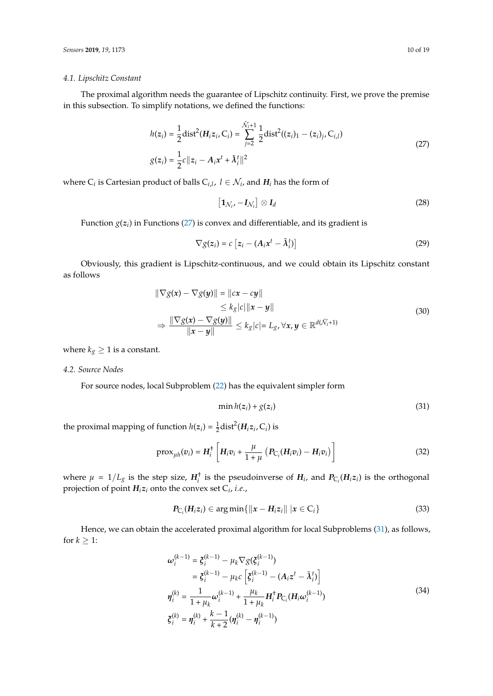#### *4.1. Lipschitz Constant*

The proximal algorithm needs the guarantee of Lipschitz continuity. First, we prove the premise in this subsection. To simplify notations, we defined the functions:

$$
h(z_i) = \frac{1}{2} \text{dist}^2(H_i z_i, C_i) = \sum_{j=2}^{\hat{\mathcal{N}}_i+1} \frac{1}{2} \text{dist}^2((z_i)_1 - (z_i)_j, C_{i,l})
$$
  

$$
g(z_i) = \frac{1}{2} c ||z_i - A_i x^t + \tilde{\lambda}_i^t||^2
$$
 (27)

<span id="page-9-0"></span>where  $C_i$  is Cartesian product of balls  $C_{i,l}$ ,  $l \in \mathcal{N}_i$ , and  $H_i$  has the form of

$$
\left[\mathbf{1}_{\mathcal{N}_i}, -\mathbf{I}_{\mathcal{N}_i}\right] \otimes \mathbf{I}_d \tag{28}
$$

Function *g*(*z<sup>i</sup>* ) in Functions [\(27\)](#page-9-0) is convex and differentiable, and its gradient is

$$
\nabla g(z_i) = c \left[ z_i - (A_i x^t - \tilde{\lambda}_i^t) \right]
$$
 (29)

Obviously, this gradient is Lipschitz-continuous, and we could obtain its Lipschitz constant as follows

$$
\|\nabla g(x) - \nabla g(y)\| = \|cx - cy\|
$$
  
\n
$$
\le k_g |c| \|x - y\|
$$
  
\n
$$
\Rightarrow \frac{\|\nabla g(x) - \nabla g(y)\|}{\|x - y\|} \le k_g |c| = L_g, \forall x, y \in \mathbb{R}^{d(\hat{N}_i + 1)}
$$
\n(30)

where  $k_g \geq 1$  is a constant.

## *4.2. Source Nodes*

For source nodes, local Subproblem [\(22\)](#page-7-1) has the equivalent simpler form

<span id="page-9-1"></span>
$$
\min h(z_i) + g(z_i) \tag{31}
$$

the proximal mapping of function  $h(z_i) = \frac{1}{2} \text{dist}^2(H_i z_i, C_i)$  is

<span id="page-9-3"></span>
$$
\text{prox}_{\mu h}(v_i) = H_i^{\dagger} \left[ H_i v_i + \frac{\mu}{1 + \mu} \left( P_{C_i} (H_i v_i) - H_i v_i \right) \right]
$$
(32)

where  $\mu = 1/L_g$  is the step size,  $H_i^{\dagger}$  is the pseudoinverse of  $H_i$ , and  $P_{C_i}(H_i z_i)$  is the orthogonal projection of point *Hiz<sup>i</sup>* onto the convex set C*<sup>i</sup>* , *i*.*e*.,

$$
P_{\mathcal{C}_i}(H_i z_i) \in \arg\min\{\|x - H_i z_i\| \, |x \in \mathcal{C}_i\} \tag{33}
$$

<span id="page-9-2"></span>Hence, we can obtain the accelerated proximal algorithm for local Subproblems [\(31\)](#page-9-1), as follows, for  $k \geq 1$ :

$$
\omega_i^{(k-1)} = \xi_i^{(k-1)} - \mu_k \nabla g(\xi_i^{(k-1)})
$$
  
\n
$$
= \xi_i^{(k-1)} - \mu_k c \left[ \xi_i^{(k-1)} - (A_i z^t - \tilde{\lambda}_i^t) \right]
$$
  
\n
$$
\eta_i^{(k)} = \frac{1}{1 + \mu_k} \omega_i^{(k-1)} + \frac{\mu_k}{1 + \mu_k} H_i^{\dagger} P_{C_i} (H_i \omega_i^{(k-1)})
$$
  
\n
$$
\xi_i^{(k)} = \eta_i^{(k)} + \frac{k-1}{k+2} (\eta_i^{(k)} - \eta_i^{(k-1)})
$$
\n(34)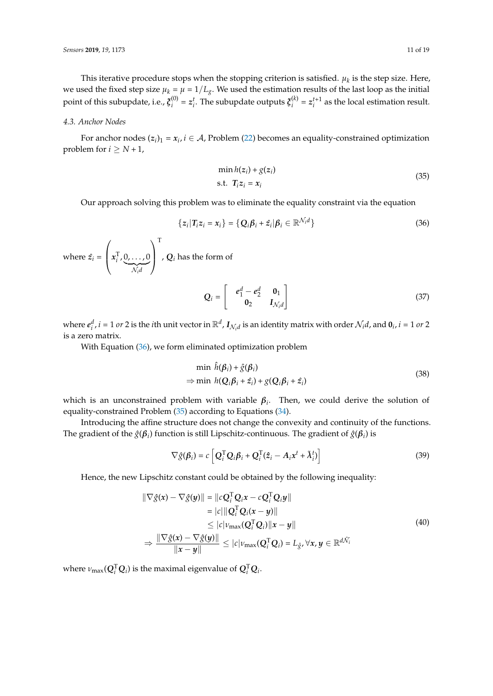This iterative procedure stops when the stopping criterion is satisfied.  $\mu_k$  is the step size. Here, we used the fixed step size  $\mu_k = \mu = 1/L_g$ . We used the estimation results of the last loop as the initial point of this subupdate, i.e.,  $\boldsymbol{\xi}_{i}^{\left(0\right)}$  $a_i^{(0)} = z_i^t$ . The subupdate outputs  $\boldsymbol{\xi}_i^{(k)}$  $z_i^{(k)} = z_i^{t+1}$  as the local estimation result.

## *4.3. Anchor Nodes*

For anchor nodes  $(z_i)_1 = x_i$ ,  $i \in A$ , Problem [\(22\)](#page-7-1) becomes an equality-constrained optimization problem for  $i > N + 1$ ,

$$
\min h(z_i) + g(z_i) \n\text{s.t. } T_i z_i = x_i
$$
\n(35)

<span id="page-10-1"></span>Our approach solving this problem was to eliminate the equality constraint via the equation

<span id="page-10-0"></span>
$$
\{z_i | T_i z_i = x_i\} = \{Q_i \beta_i + \hat{z}_i | \beta_i \in \mathbb{R}^{\mathcal{N}_i d}\}\
$$
\n(36)

where  $\hat{z}_i$  =  $\sqrt{ }$  $\left(x_i^{\text{T}}, 0, \ldots, 0\right)$  ${\cal N}_i d$  $\setminus$  $\cdot$ T , *Q<sup>i</sup>* has the form of

$$
Q_i = \begin{bmatrix} e_1^d - e_2^d & 0_1 \\ 0_2 & I_{\mathcal{N}_i d} \end{bmatrix}
$$
 (37)

where  $e_i^d$ ,  $i = 1$  or 2 is the *i*th unit vector in  $\mathbb{R}^d$ ,  $I_{\mathcal{N}_i d}$  is an identity matrix with order  $\mathcal{N}_i d$ , and  $\mathbf{0}_i$ ,  $i = 1$  or 2 is a zero matrix.

With Equation [\(36\)](#page-10-0), we form eliminated optimization problem

$$
\min \hat{h}(\beta_i) + \hat{g}(\beta_i) \n\Rightarrow \min h(Q_i\beta_i + \hat{z}_i) + g(Q_i\beta_i + \hat{z}_i)
$$
\n(38)

which is an unconstrained problem with variable  $\beta_i$ . Then, we could derive the solution of equality-constrained Problem [\(35\)](#page-10-1) according to Equations [\(34\)](#page-9-2).

Introducing the affine structure does not change the convexity and continuity of the functions. The gradient of the  $\hat{g}(\boldsymbol{\beta}_i)$  function is still Lipschitz-continuous. The gradient of  $\hat{g}(\boldsymbol{\beta}_i)$  is

$$
\nabla \hat{g}(\beta_i) = c \left[ \mathbf{Q}_i^{\mathrm{T}} \mathbf{Q}_i \beta_i + \mathbf{Q}_i^{\mathrm{T}} (\hat{z}_i - A_i x^t + \tilde{\lambda}_i^t) \right]
$$
(39)

Hence, the new Lipschitz constant could be obtained by the following inequality:

$$
\|\nabla \hat{g}(x) - \nabla \hat{g}(y)\| = \|cQ_i^{\mathrm{T}} Q_i x - cQ_i^{\mathrm{T}} Q_i y\|
$$
  
\n
$$
= |c| \|Q_i^{\mathrm{T}} Q_i (x - y)\|
$$
  
\n
$$
\leq |c| \nu_{\max}(Q_i^{\mathrm{T}} Q_i) \|x - y\|
$$
  
\n
$$
\Rightarrow \frac{\|\nabla \hat{g}(x) - \nabla \hat{g}(y)\|}{\|x - y\|} \leq |c| \nu_{\max}(Q_i^{\mathrm{T}} Q_i) = L_{\hat{g}}, \forall x, y \in \mathbb{R}^{d\hat{\mathcal{N}}_i}
$$
 (40)

where  $\nu_{\text{max}}(Q_i^T Q_i)$  is the maximal eigenvalue of  $Q_i^T Q_i$ .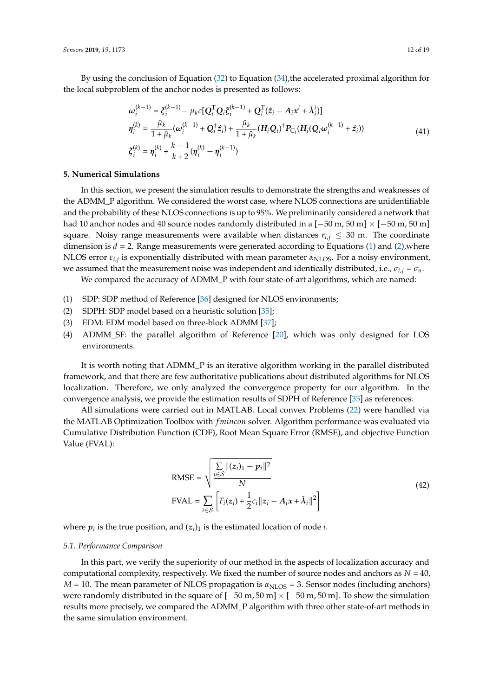By using the conclusion of Equation [\(32\)](#page-9-3) to Equation [\(34\)](#page-9-2),the accelerated proximal algorithm for the local subproblem of the anchor nodes is presented as follows:

$$
\omega_i^{(k-1)} = \xi_i^{(k-1)} - \mu_k c [\mathbf{Q}_i^{\mathrm{T}} \mathbf{Q}_i \xi_i^{(k-1)} + \mathbf{Q}_i^{\mathrm{T}} (\hat{z}_i - A_i x^t + \tilde{\lambda}_i^t)]
$$
\n
$$
\eta_i^{(k)} = \frac{\hat{\mu}_k}{1 + \hat{\mu}_k} (\omega_i^{(k-1)} + \mathbf{Q}_i^{\mathrm{T}} \hat{z}_i) + \frac{\hat{\mu}_k}{1 + \hat{\mu}_k} (\mathbf{H}_i \mathbf{Q}_i)^{\mathrm{T}} \mathbf{P}_{\mathrm{C}_i} (\mathbf{H}_i (\mathbf{Q}_i \omega_i^{(k-1)} + \hat{z}_i))
$$
\n
$$
\xi_i^{(k)} = \eta_i^{(k)} + \frac{k-1}{k+2} (\eta_i^{(k)} - \eta_i^{(k-1)})
$$
\n(41)

## <span id="page-11-1"></span><span id="page-11-0"></span>**5. Numerical Simulations**

In this section, we present the simulation results to demonstrate the strengths and weaknesses of the ADMM\_P algorithm. We considered the worst case, where NLOS connections are unidentifiable and the probability of these NLOS connections is up to 95%. We preliminarily considered a network that had 10 anchor nodes and 40 source nodes randomly distributed in a  $[-50 \text{ m}, 50 \text{ m}] \times [-50 \text{ m}, 50 \text{ m}]$ square. Noisy range measurements were available when distances  $r_{i,j} \leq 30$  m. The coordinate dimension is  $d = 2$ . Range measurements were generated according to Equations [\(1\)](#page-3-2) and [\(2\)](#page-3-3), where NLOS error *ε<sub>i,j</sub>* is exponentially distributed with mean parameter α<sub>NLOS</sub>. For a noisy environment, we assumed that the measurement noise was independent and identically distributed, i.e.,  $\sigma_{i,j} = \sigma_n$ .

We compared the accuracy of ADMM\_P with four state-of-art algorithms, which are named:

- (1) SDP: SDP method of Reference [\[36\]](#page-17-22) designed for NLOS environments;
- (2) SDPH: SDP model based on a heuristic solution [\[35\]](#page-17-21);
- (3) EDM: EDM model based on three-block ADMM [\[37\]](#page-18-0);
- (4) ADMM\_SF: the parallel algorithm of Reference [\[20\]](#page-17-7), which was only designed for LOS environments.

It is worth noting that ADMM\_P is an iterative algorithm working in the parallel distributed framework, and that there are few authoritative publications about distributed algorithms for NLOS localization. Therefore, we only analyzed the convergence property for our algorithm. In the convergence analysis, we provide the estimation results of SDPH of Reference [\[35\]](#page-17-21) as references.

All simulations were carried out in MATLAB. Local convex Problems [\(22\)](#page-7-1) were handled via the MATLAB Optimization Toolbox with *f mincon* solver. Algorithm performance was evaluated via Cumulative Distribution Function (CDF), Root Mean Square Error (RMSE), and objective Function Value (FVAL):

RMSE = 
$$
\sqrt{\frac{\sum_{i \in S} ||(z_i)_1 - p_i||^2}{N}}
$$
  
FVAL = 
$$
\sum_{i \in S} \left[ F_i(z_i) + \frac{1}{2} c_i ||z_i - A_i x + \tilde{\lambda}_i||^2 \right]
$$
 (42)

where  $p_i$  is the true position, and  $(z_i)_1$  is the estimated location of node *i*.

#### *5.1. Performance Comparison*

In this part, we verify the superiority of our method in the aspects of localization accuracy and computational complexity, respectively. We fixed the number of source nodes and anchors as  $N = 40$ ,  $M = 10$ . The mean parameter of NLOS propagation is  $\alpha_{\text{NLOS}} = 3$ . Sensor nodes (including anchors) were randomly distributed in the square of  $[-50 \text{ m}, 50 \text{ m}] \times [-50 \text{ m}, 50 \text{ m}]$ . To show the simulation results more precisely, we compared the ADMM\_P algorithm with three other state-of-art methods in the same simulation environment.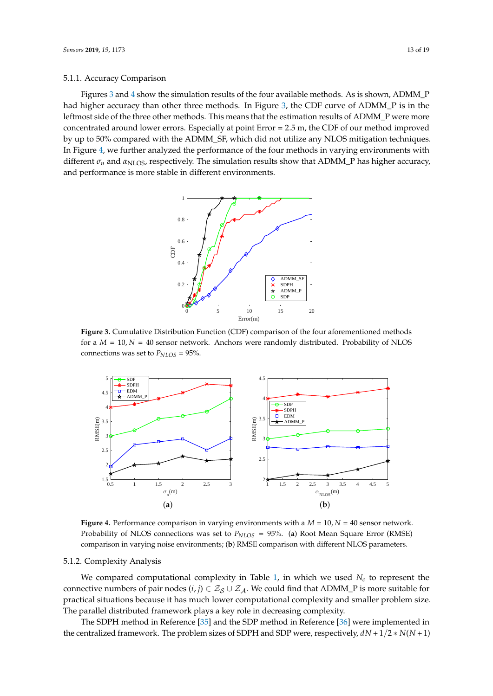#### 5.1.1. Accuracy Comparison

<span id="page-12-0"></span>Figures [3](#page-12-0) and [4](#page-12-1) show the simulation results of the four available methods. As is shown, ADMM\_P had higher accuracy than other three methods. In Figure [3,](#page-12-0) the CDF curve of ADMM\_P is in the leftmost side of the three other methods. This means that the estimation results of ADMM\_P were more concentrated around lower errors. Especially at point Error = 2.5 m, the CDF of our method improved by up to 50% compared with the ADMM\_SF, which did not utilize any NLOS mitigation techniques. In Figure [4,](#page-12-1) we further analyzed the performance of the four methods in varying environments with different  $\sigma_n$  and  $\alpha_{\text{NLOS}}$ , respectively. The simulation results show that ADMM\_P has higher accuracy, and performance is more stable in different environments.



**Figure 3.** Cumulative Distribution Function (CDF) comparison of the four aforementioned methods for a  $M = 10$ ,  $N = 40$  sensor network. Anchors were randomly distributed. Probability of NLOS connections was set to  $P_{NLOS} = 95\%$ .

<span id="page-12-1"></span>

**Figure 4.** Performance comparison in varying environments with a *M* = 10, *N* = 40 sensor network. Probability of NLOS connections was set to *PNLOS* = 95%. (**a**) Root Mean Square Error (RMSE) comparison in varying noise environments; (**b**) RMSE comparison with different NLOS parameters.

## 5.1.2. Complexity Analysis

We compared computational complexity in Table [1,](#page-13-0) in which we used  $N_c$  to represent the connective numbers of pair nodes  $(i, j) \in \mathcal{Z}_{S} \cup \mathcal{Z}_{A}$ . We could find that ADMM\_P is more suitable for practical situations because it has much lower computational complexity and smaller problem size. The parallel distributed framework plays a key role in decreasing complexity.

The SDPH method in Reference [\[35\]](#page-17-21) and the SDP method in Reference [\[36\]](#page-17-22) were implemented in the centralized framework. The problem sizes of SDPH and SDP were, respectively, *dN* + 1/2 ∗ *N*(*N* + 1)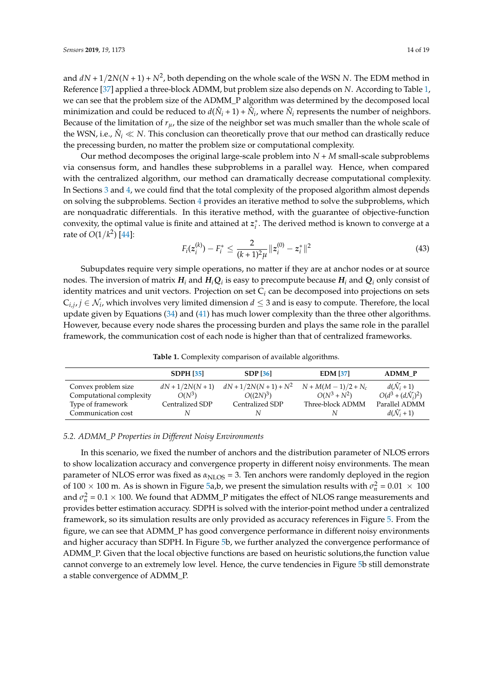and  $dN + 1/2N(N + 1) + N^2$ , both depending on the whole scale of the WSN N. The EDM method in Reference [\[37\]](#page-18-0) applied a three-block ADMM, but problem size also depends on *N*. According to Table [1,](#page-13-0) we can see that the problem size of the ADMM\_P algorithm was determined by the decomposed local minimization and could be reduced to  $d(\hat{N}_i + 1) + \hat{N}_i$ , where  $\hat{N}_i$  represents the number of neighbors. Because of the limitation of  $r_{\mu}$ , the size of the neighbor set was much smaller than the whole scale of the WSN, i.e.,  $\hat{N}_i \ll N$ . This conclusion can theoretically prove that our method can drastically reduce the precessing burden, no matter the problem size or computational complexity.

Our method decomposes the original large-scale problem into *N* + *M* small-scale subproblems via consensus form, and handles these subproblems in a parallel way. Hence, when compared with the centralized algorithm, our method can dramatically decrease computational complexity. In Sections [3](#page-5-0) and [4,](#page-8-0) we could find that the total complexity of the proposed algorithm almost depends on solving the subproblems. Section [4](#page-8-0) provides an iterative method to solve the subproblems, which are nonquadratic differentials. In this iterative method, with the guarantee of objective-function convexity, the optimal value is finite and attained at  $z_i^*$ . The derived method is known to converge at a rate of *O*(1/*k* 2 ) [\[44\]](#page-18-6):

$$
F_i(z_i^{(k)}) - F_i^* \le \frac{2}{(k+1)^2 \mu} \|z_i^{(0)} - z_i^*\|^2 \tag{43}
$$

Subupdates require very simple operations, no matter if they are at anchor nodes or at source nodes. The inversion of matrix  $H_i$  and  $H_iQ_i$  is easy to precompute because  $H_i$  and  $Q_i$  only consist of identity matrices and unit vectors. Projection on set C*<sup>i</sup>* can be decomposed into projections on sets  $C_{i,j}$ ,  $j \in \mathcal{N}_i$ , which involves very limited dimension  $d \leq 3$  and is easy to compute. Therefore, the local update given by Equations [\(34\)](#page-9-2) and [\(41\)](#page-11-1) has much lower complexity than the three other algorithms. However, because every node shares the processing burden and plays the same role in the parallel framework, the communication cost of each node is higher than that of centralized frameworks.

**Table 1.** Complexity comparison of available algorithms.

<span id="page-13-0"></span>

|                          | <b>SDPH [35]</b>   | <b>SDP</b> [36]          | <b>EDM</b> [37]        | <b>ADMM P</b>                       |
|--------------------------|--------------------|--------------------------|------------------------|-------------------------------------|
| Convex problem size      | $dN + 1/2N(N + 1)$ | $dN + 1/2N(N + 1) + N^2$ | $N + M(M - 1)/2 + N_c$ | $d(\hat{\mathcal{N}}_i+1)$          |
| Computational complexity | $O(N^3)$           | $O((2N)^3)$              | $O(N^3 + N^2)$         | $O(d^3 + (d\hat{\mathcal{N}}_i)^2)$ |
| Type of framework        | Centralized SDP    | Centralized SDP          | Three-block ADMM       | Parallel ADMM                       |
| Communication cost       |                    |                          |                        | $d(\mathcal{N}_i+1)$                |

#### *5.2. ADMM\_P Properties in Different Noisy Environments*

In this scenario, we fixed the number of anchors and the distribution parameter of NLOS errors to show localization accuracy and convergence property in different noisy environments. The mean parameter of NLOS error was fixed as  $\alpha_{\text{NI OS}} = 3$ . Ten anchors were randomly deployed in the region of 100  $\times$  100 m. As is shown in Figure [5a](#page-14-0),b, we present the simulation results with  $\sigma_n^2 = 0.01 \times 100$ and  $\sigma_n^2 = 0.1 \times 100$ . We found that ADMM\_P mitigates the effect of NLOS range measurements and provides better estimation accuracy. SDPH is solved with the interior-point method under a centralized framework, so its simulation results are only provided as accuracy references in Figure [5.](#page-14-0) From the figure, we can see that ADMM\_P has good convergence performance in different noisy environments and higher accuracy than SDPH. In Figure [5b](#page-14-0), we further analyzed the convergence performance of ADMM\_P. Given that the local objective functions are based on heuristic solutions,the function value cannot converge to an extremely low level. Hence, the curve tendencies in Figure [5b](#page-14-0) still demonstrate a stable convergence of ADMM\_P.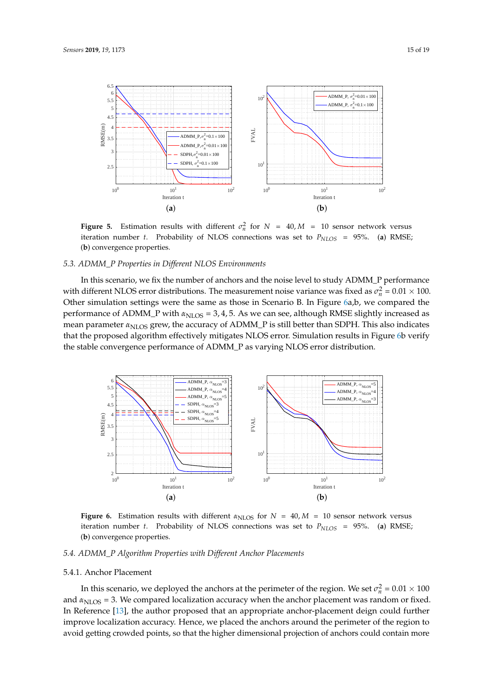<span id="page-14-0"></span>

**Figure 5.** Estimation results with different  $\sigma_n^2$  for  $N = 40$ ,  $M = 10$  sensor network versus iteration number *t*. Probability of NLOS connections was set to *PNLOS* = 95%. (**a**) RMSE; (**b**) convergence properties.

#### *5.3. ADMM\_P Properties in Different NLOS Environments*

In this scenario, we fix the number of anchors and the noise level to study ADMM\_P performance with different NLOS error distributions. The measurement noise variance was fixed as  $\sigma_n^2 = 0.01 \times 100$ . Other simulation settings were the same as those in Scenario B. In Figure [6a](#page-14-1),b, we compared the performance of ADMM<sub>\_</sub>P with  $\alpha_{\text{NLOS}} = 3, 4, 5$ . As we can see, although RMSE slightly increased as mean parameter *α*<sub>NLOS</sub> grew, the accuracy of ADMM<sub>\_</sub>P is still better than SDPH. This also indicates that the proposed algorithm effectively mitigates NLOS error. Simulation results in Figure [6b](#page-14-1) verify the stable convergence performance of ADMM\_P as varying NLOS error distribution.

<span id="page-14-1"></span>

**Figure 6.** Estimation results with different  $\alpha_{\text{NLOS}}$  for  $N = 40$ ,  $M = 10$  sensor network versus iteration number *t*. Probability of NLOS connections was set to  $P_{NLOS} = 95\%$ . (a) RMSE; (**b**) convergence properties.

### *5.4. ADMM\_P Algorithm Properties with Different Anchor Placements*

#### 5.4.1. Anchor Placement

In this scenario, we deployed the anchors at the perimeter of the region. We set  $\sigma_n^2 = 0.01 \times 100$ and  $\alpha_{\text{NLOS}} = 3$ . We compared localization accuracy when the anchor placement was random or fixed. In Reference [\[13\]](#page-17-1), the author proposed that an appropriate anchor-placement deign could further improve localization accuracy. Hence, we placed the anchors around the perimeter of the region to avoid getting crowded points, so that the higher dimensional projection of anchors could contain more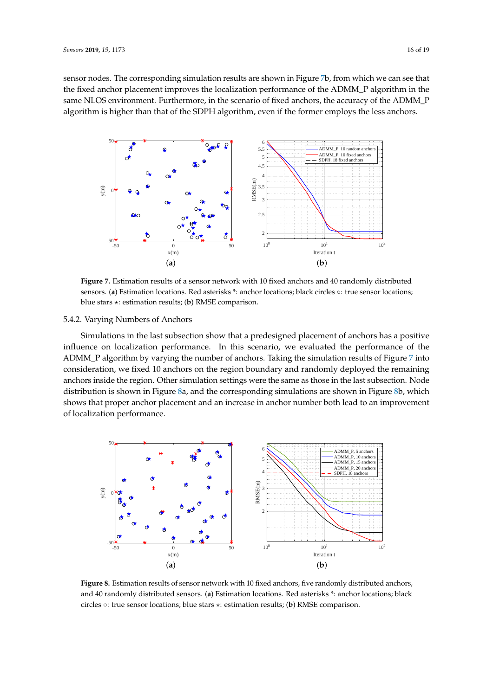sensor nodes. The corresponding simulation results are shown in Figure [7b](#page-15-0), from which we can see that the fixed anchor placement improves the localization performance of the ADMM\_P algorithm in the same NLOS environment. Furthermore, in the scenario of fixed anchors, the accuracy of the ADMM\_P algorithm is higher than that of the SDPH algorithm, even if the former employs the less anchors.

<span id="page-15-0"></span>

**Figure 7.** Estimation results of a sensor network with 10 fixed anchors and 40 randomly distributed sensors. (**a**) Estimation locations. Red asterisks \*: anchor locations; black circles ∘: true sensor locations; blue stars ?: estimation results; (**b**) RMSE comparison.

## 5.4.2. Varying Numbers of Anchors

Simulations in the last subsection show that a predesigned placement of anchors has a positive influence on localization performance. In this scenario, we evaluated the performance of the ADMM\_P algorithm by varying the number of anchors. Taking the simulation results of Figure [7](#page-15-0) into consideration, we fixed 10 anchors on the region boundary and randomly deployed the remaining anchors inside the region. Other simulation settings were the same as those in the last subsection. Node distribution is shown in Figure [8a](#page-15-1), and the corresponding simulations are shown in Figure [8b](#page-15-1), which shows that proper anchor placement and an increase in anchor number both lead to an improvement of localization performance.

<span id="page-15-1"></span>

**Figure 8.** Estimation results of sensor network with 10 fixed anchors, five randomly distributed anchors, and 40 randomly distributed sensors. (**a**) Estimation locations. Red asterisks \*: anchor locations; black circles ◦: true sensor locations; blue stars ?: estimation results; (**b**) RMSE comparison.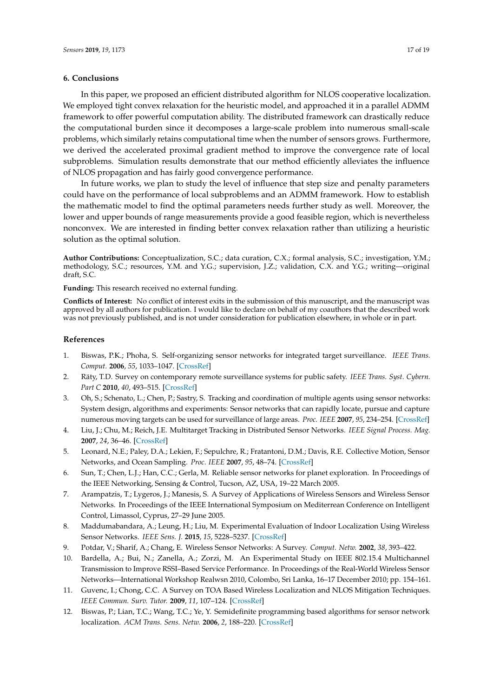#### <span id="page-16-12"></span>**6. Conclusions**

In this paper, we proposed an efficient distributed algorithm for NLOS cooperative localization. We employed tight convex relaxation for the heuristic model, and approached it in a parallel ADMM framework to offer powerful computation ability. The distributed framework can drastically reduce the computational burden since it decomposes a large-scale problem into numerous small-scale problems, which similarly retains computational time when the number of sensors grows. Furthermore, we derived the accelerated proximal gradient method to improve the convergence rate of local subproblems. Simulation results demonstrate that our method efficiently alleviates the influence of NLOS propagation and has fairly good convergence performance.

In future works, we plan to study the level of influence that step size and penalty parameters could have on the performance of local subproblems and an ADMM framework. How to establish the mathematic model to find the optimal parameters needs further study as well. Moreover, the lower and upper bounds of range measurements provide a good feasible region, which is nevertheless nonconvex. We are interested in finding better convex relaxation rather than utilizing a heuristic solution as the optimal solution.

**Author Contributions:** Conceptualization, S.C.; data curation, C.X.; formal analysis, S.C.; investigation, Y.M.; methodology, S.C.; resources, Y.M. and Y.G.; supervision, J.Z.; validation, C.X. and Y.G.; writing—original draft, S.C.

**Funding:** This research received no external funding.

**Conflicts of Interest:** No conflict of interest exits in the submission of this manuscript, and the manuscript was approved by all authors for publication. I would like to declare on behalf of my coauthors that the described work was not previously published, and is not under consideration for publication elsewhere, in whole or in part.

#### **References**

- <span id="page-16-0"></span>1. Biswas, P.K.; Phoha, S. Self-organizing sensor networks for integrated target surveillance. *IEEE Trans. Comput.* **2006**, *55*, 1033–1047. [\[CrossRef\]](http://dx.doi.org/10.1109/TC.2006.130)
- <span id="page-16-1"></span>2. Räty, T.D. Survey on contemporary remote surveillance systems for public safety. *IEEE Trans. Syst. Cybern. Part C* **2010**, *40*, 493–515. [\[CrossRef\]](http://dx.doi.org/10.1109/TSMCC.2010.2042446)
- <span id="page-16-2"></span>3. Oh, S.; Schenato, L.; Chen, P.; Sastry, S. Tracking and coordination of multiple agents using sensor networks: System design, algorithms and experiments: Sensor networks that can rapidly locate, pursue and capture numerous moving targets can be used for surveillance of large areas. *Proc. IEEE* **2007**, *95*, 234–254. [\[CrossRef\]](http://dx.doi.org/10.1109/JPROC.2006.887296)
- <span id="page-16-3"></span>4. Liu, J.; Chu, M.; Reich, J.E. Multitarget Tracking in Distributed Sensor Networks. *IEEE Signal Process. Mag.* **2007**, *24*, 36–46. [\[CrossRef\]](http://dx.doi.org/10.1109/MSP.2007.361600)
- <span id="page-16-4"></span>5. Leonard, N.E.; Paley, D.A.; Lekien, F.; Sepulchre, R.; Fratantoni, D.M.; Davis, R.E. Collective Motion, Sensor Networks, and Ocean Sampling. *Proc. IEEE* **2007**, *95*, 48–74. [\[CrossRef\]](http://dx.doi.org/10.1109/JPROC.2006.887295)
- <span id="page-16-5"></span>6. Sun, T.; Chen, L.J.; Han, C.C.; Gerla, M. Reliable sensor networks for planet exploration. In Proceedings of the IEEE Networking, Sensing & Control, Tucson, AZ, USA, 19–22 March 2005.
- <span id="page-16-6"></span>7. Arampatzis, T.; Lygeros, J.; Manesis, S. A Survey of Applications of Wireless Sensors and Wireless Sensor Networks. In Proceedings of the IEEE International Symposium on Mediterrean Conference on Intelligent Control, Limassol, Cyprus, 27–29 June 2005.
- <span id="page-16-7"></span>8. Maddumabandara, A.; Leung, H.; Liu, M. Experimental Evaluation of Indoor Localization Using Wireless Sensor Networks. *IEEE Sens. J.* **2015**, *15*, 5228–5237. [\[CrossRef\]](http://dx.doi.org/10.1109/JSEN.2015.2438193)
- <span id="page-16-8"></span>9. Potdar, V.; Sharif, A.; Chang, E. Wireless Sensor Networks: A Survey. *Comput. Netw.* **2002**, *38*, 393–422.
- <span id="page-16-9"></span>10. Bardella, A.; Bui, N.; Zanella, A.; Zorzi, M. An Experimental Study on IEEE 802.15.4 Multichannel Transmission to Improve RSSI–Based Service Performance. In Proceedings of the Real-World Wireless Sensor Networks—International Workshop Realwsn 2010, Colombo, Sri Lanka, 16–17 December 2010; pp. 154–161.
- <span id="page-16-10"></span>11. Guvenc, I.; Chong, C.C. A Survey on TOA Based Wireless Localization and NLOS Mitigation Techniques. *IEEE Commun. Surv. Tutor.* **2009**, *11*, 107–124. [\[CrossRef\]](http://dx.doi.org/10.1109/SURV.2009.090308)
- <span id="page-16-11"></span>12. Biswas, P.; Lian, T.C.; Wang, T.C.; Ye, Y. Semidefinite programming based algorithms for sensor network localization. *ACM Trans. Sens. Netw.* **2006**, *2*, 188–220. [\[CrossRef\]](http://dx.doi.org/10.1145/1149283.1149286)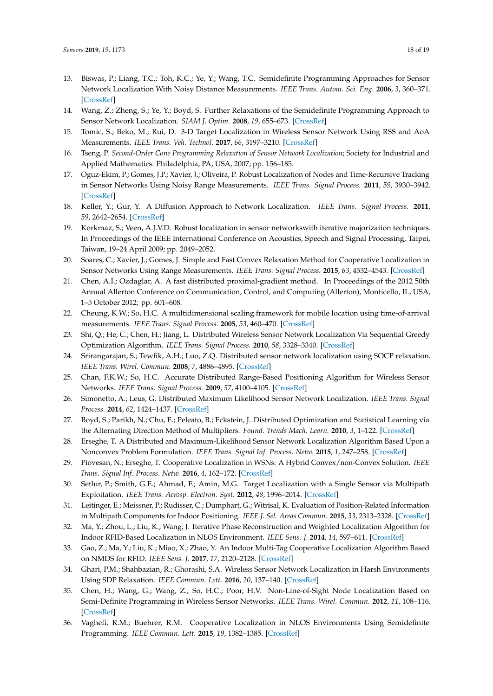- <span id="page-17-1"></span>13. Biswas, P.; Liang, T.C.; Toh, K.C.; Ye, Y.; Wang, T.C. Semidefinite Programming Approaches for Sensor Network Localization With Noisy Distance Measurements. *IEEE Trans. Autom. Sci. Eng.* **2006**, *3*, 360–371. [\[CrossRef\]](http://dx.doi.org/10.1109/TASE.2006.877401)
- <span id="page-17-0"></span>14. Wang, Z.; Zheng, S.; Ye, Y.; Boyd, S. Further Relaxations of the Semidefinite Programming Approach to Sensor Network Localization. *SIAM J. Optim.* **2008**, *19*, 655–673. [\[CrossRef\]](http://dx.doi.org/10.1137/060669395)
- <span id="page-17-2"></span>15. Tomic, S.; Beko, M.; Rui, D. 3-D Target Localization in Wireless Sensor Network Using RSS and AoA Measurements. *IEEE Trans. Veh. Technol.* **2017**, *66*, 3197–3210. [\[CrossRef\]](http://dx.doi.org/10.1109/TVT.2016.2589923)
- <span id="page-17-3"></span>16. Tseng, P. *Second-Order Cone Programming Relaxation of Sensor Network Localization*; Society for Industrial and Applied Mathematics: Philadelphia, PA, USA, 2007; pp. 156–185.
- <span id="page-17-4"></span>17. Oguz-Ekim, P.; Gomes, J.P.; Xavier, J.; Oliveira, P. Robust Localization of Nodes and Time-Recursive Tracking in Sensor Networks Using Noisy Range Measurements. *IEEE Trans. Signal Process.* **2011**, *59*, 3930–3942. [\[CrossRef\]](http://dx.doi.org/10.1109/TSP.2011.2153848)
- <span id="page-17-5"></span>18. Keller, Y.; Gur, Y. A Diffusion Approach to Network Localization. *IEEE Trans. Signal Process.* **2011**, *59*, 2642–2654. [\[CrossRef\]](http://dx.doi.org/10.1109/TSP.2011.2122261)
- <span id="page-17-6"></span>19. Korkmaz, S.; Veen, A.J.V.D. Robust localization in sensor networkswith iterative majorization techniques. In Proceedings of the IEEE International Conference on Acoustics, Speech and Signal Processing, Taipei, Taiwan, 19–24 April 2009; pp. 2049–2052.
- <span id="page-17-7"></span>20. Soares, C.; Xavier, J.; Gomes, J. Simple and Fast Convex Relaxation Method for Cooperative Localization in Sensor Networks Using Range Measurements. *IEEE Trans. Signal Process.* **2015**, *63*, 4532–4543. [\[CrossRef\]](http://dx.doi.org/10.1109/TSP.2015.2454853)
- <span id="page-17-8"></span>21. Chen, A.I.; Ozdaglar, A. A fast distributed proximal-gradient method. In Proceedings of the 2012 50th Annual Allerton Conference on Communication, Control, and Computing (Allerton), Monticello, IL, USA, 1–5 October 2012; pp. 601–608.
- <span id="page-17-9"></span>22. Cheung, K.W.; So, H.C. A multidimensional scaling framework for mobile location using time-of-arrival measurements. *IEEE Trans. Signal Process.* **2005**, *53*, 460–470. [\[CrossRef\]](http://dx.doi.org/10.1109/TSP.2004.840721)
- <span id="page-17-10"></span>23. Shi, Q.; He, C.; Chen, H.; Jiang, L. Distributed Wireless Sensor Network Localization Via Sequential Greedy Optimization Algorithm. *IEEE Trans. Signal Process.* **2010**, *58*, 3328–3340. [\[CrossRef\]](http://dx.doi.org/10.1109/TSP.2010.2045416)
- <span id="page-17-11"></span>24. Srirangarajan, S.; Tewfik, A.H.; Luo, Z.Q. Distributed sensor network localization using SOCP relaxation. *IEEE Trans. Wirel. Commun.* **2008**, *7*, 4886–4895. [\[CrossRef\]](http://dx.doi.org/10.1109/T-WC.2008.070241)
- <span id="page-17-12"></span>25. Chan, F.K.W.; So, H.C. Accurate Distributed Range-Based Positioning Algorithm for Wireless Sensor Networks. *IEEE Trans. Signal Process.* **2009**, *57*, 4100–4105. [\[CrossRef\]](http://dx.doi.org/10.1109/TSP.2009.2022354)
- <span id="page-17-13"></span>26. Simonetto, A.; Leus, G. Distributed Maximum Likelihood Sensor Network Localization. *IEEE Trans. Signal Process.* **2014**, *62*, 1424–1437. [\[CrossRef\]](http://dx.doi.org/10.1109/TSP.2014.2302746)
- <span id="page-17-14"></span>27. Boyd, S.; Parikh, N.; Chu, E.; Peleato, B.; Eckstein, J. Distributed Optimization and Statistical Learning via the Alternating Direction Method of Multipliers. *Found. Trends Mach. Learn.* **2010**, *3*, 1–122. [\[CrossRef\]](http://dx.doi.org/10.1561/2200000016)
- <span id="page-17-15"></span>28. Erseghe, T. A Distributed and Maximum-Likelihood Sensor Network Localization Algorithm Based Upon a Nonconvex Problem Formulation. *IEEE Trans. Signal Inf. Process. Netw.* **2015**, *1*, 247–258. [\[CrossRef\]](http://dx.doi.org/10.1109/TSIPN.2015.2483321)
- <span id="page-17-16"></span>29. Piovesan, N.; Erseghe, T. Cooperative Localization in WSNs: A Hybrid Convex/non-Convex Solution. *IEEE Trans. Signal Inf. Process. Netw.* **2016**, *4*, 162–172. [\[CrossRef\]](http://dx.doi.org/10.1109/TSIPN.2016.2639442)
- <span id="page-17-17"></span>30. Setlur, P.; Smith, G.E.; Ahmad, F.; Amin, M.G. Target Localization with a Single Sensor via Multipath Exploitation. *IEEE Trans. Aerosp. Electron. Syst.* **2012**, *48*, 1996–2014. [\[CrossRef\]](http://dx.doi.org/10.1109/TAES.2012.6237575)
- 31. Leitinger, E.; Meissner, P.; Rudisser, C.; Dumphart, G.; Witrisal, K. Evaluation of Position-Related Information in Multipath Components for Indoor Positioning. *IEEE J. Sel. Areas Commun.* **2015**, *33*, 2313–2328. [\[CrossRef\]](http://dx.doi.org/10.1109/JSAC.2015.2430520)
- <span id="page-17-18"></span>32. Ma, Y.; Zhou, L.; Liu, K.; Wang, J. Iterative Phase Reconstruction and Weighted Localization Algorithm for Indoor RFID-Based Localization in NLOS Environment. *IEEE Sens. J.* **2014**, *14*, 597–611. [\[CrossRef\]](http://dx.doi.org/10.1109/JSEN.2013.2286220)
- <span id="page-17-19"></span>33. Gao, Z.; Ma, Y.; Liu, K.; Miao, X.; Zhao, Y. An Indoor Multi-Tag Cooperative Localization Algorithm Based on NMDS for RFID. *IEEE Sens. J.* **2017**, *17*, 2120–2128. [\[CrossRef\]](http://dx.doi.org/10.1109/JSEN.2017.2664338)
- <span id="page-17-20"></span>34. Ghari, P.M.; Shahbazian, R.; Ghorashi, S.A. Wireless Sensor Network Localization in Harsh Environments Using SDP Relaxation. *IEEE Commun. Lett.* **2016**, *20*, 137–140. [\[CrossRef\]](http://dx.doi.org/10.1109/LCOMM.2015.2498179)
- <span id="page-17-21"></span>35. Chen, H.; Wang, G.; Wang, Z.; So, H.C.; Poor, H.V. Non-Line-of-Sight Node Localization Based on Semi-Definite Programming in Wireless Sensor Networks. *IEEE Trans. Wirel. Commun.* **2012**, *11*, 108–116. [\[CrossRef\]](http://dx.doi.org/10.1109/TWC.2011.110811.101739)
- <span id="page-17-22"></span>36. Vaghefi, R.M.; Buehrer, R.M. Cooperative Localization in NLOS Environments Using Semidefinite Programming. *IEEE Commun. Lett.* **2015**, *19*, 1382–1385. [\[CrossRef\]](http://dx.doi.org/10.1109/LCOMM.2015.2442580)